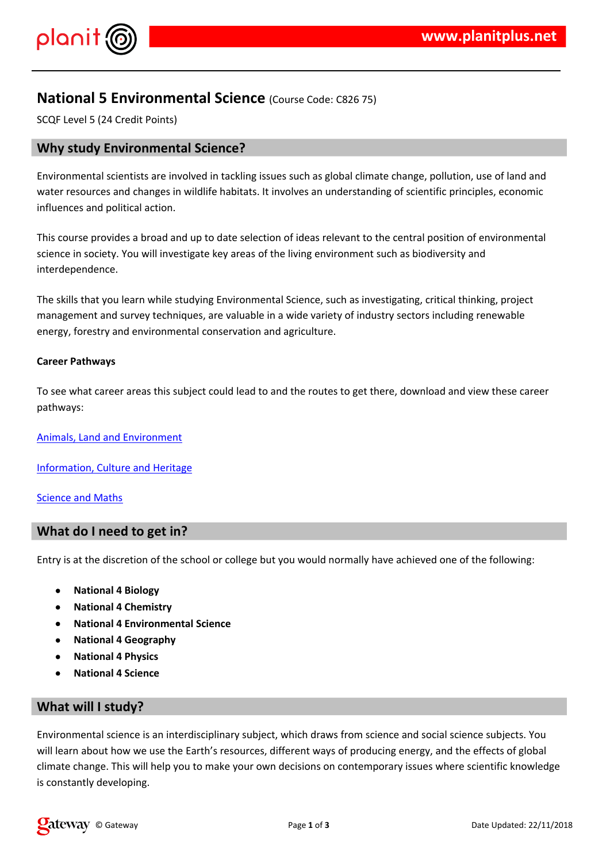## $\frac{1}{2}$  # \$ % & &

 $(1 \# 8 \t)$   $\uparrow$   $\uparrow$   $\uparrow$   $\uparrow$   $\uparrow$   $\uparrow$   $\uparrow$   $\uparrow$   $\uparrow$   $\uparrow$   $\uparrow$   $\uparrow$   $\uparrow$   $\uparrow$   $\uparrow$   $\uparrow$   $\uparrow$   $\uparrow$   $\uparrow$   $\uparrow$   $\uparrow$   $\uparrow$   $\uparrow$   $\uparrow$   $\uparrow$   $\uparrow$   $\uparrow$   $\uparrow$   $\uparrow$   $\uparrow$   $\uparrow$   $\uparrow$   $\uparrow$   $\uparrow$   $\uparrow$  $8'$  \$  $'$  \*  $\qquad$  \$  $8$   $8 \times$  \$ \*  $8'$  /

\* #& ' \$ \* & '& \$ # ', \* ' \$ & & ' '# {  $1, 8$ \* & ' \* & ' \* & ' / 2 & \$ \$ & ' # \, & \$ & # & ' ' # & \, ' ) '- & & #' &  $\mathbf{1}$   $\mathbf{1}$   $\mathbf{1}$   $\mathbf{1}$   $\mathbf{2}$   $\mathbf{1}$  $8'$ 

1,  $+8.55$ ,  $-58.1, +8.85$  ,  $-58.1, +8.85$  ,  $-10.1, +8.85$  ,  $-10.1, +8.1$  ,  $-10.1, +8.1$  ,  $-10.1, +8.1$  ,  $-10.1, +8.1$  ,  $-10.1, +8.1$  ,  $-10.1, +8.1$  ,  $-10.1, +8.1$  ,  $-10.1, +8.1$  ,  $-10.1, +8.1$  ,  $-10.1, +8.1$  ,  $-10.1, +8.1$ )  $'$  )  $'$  # \*, '& 4# \$ -& '& # & & \* & ' \*\$ & '' -\$ <br>  $'$  + '#& \*') ' #\$ &' ' & \* \$ /

 $\frac{1}{2}$ ,  $\frac{1}{2}$ ,  $\frac{1}{2}$ ,  $\frac{1}{2}$ ,  $\frac{1}{2}$ ,  $\frac{1}{2}$ ,  $\frac{1}{2}$ ,  $\frac{1}{2}$ ,  $\frac{1}{2}$ ,  $\frac{1}{2}$ ,  $\frac{1}{2}$ ,  $\frac{1}{2}$ ,  $\frac{1}{2}$ ,  $\frac{1}{2}$ ,  $\frac{1}{2}$ ,  $\frac{1}{2}$ ,  $\frac{1}{2}$ ,  $\frac{1}{2}$ ,  $\frac{1}{2}$ ,  $\frac{1}{2}$ ,  $1$ 

 $5'$  &  $\frac{1}{2}$  \$ . " '' ('# & ') '

 $0'$  ) &  $'$ . \$ 6 &

 $\star$  8  $\star$  7,

 $\mathbf{I}$ 

 $\boldsymbol{\mathsf{H}}$ 

 $('# & ')'$  \$ \*& "\*&' & \*& \$&', & \*, -3 \* . \*& '\* ' \*& \$\* -3 \*  $-8.555 - 1,$ <br>  $-1.58$ <br>  $-1.58$ <br>  $-1.58$ <br>  $-1.58$ <br>  $-1.58$ <br>  $-1.58$ <br>  $-1.58$ <br>  $-1.58$ <br>  $-1.58$ <br>  $-1.58$ <br>  $-1.58$ <br>  $-1.58$ <br>  $-1.58$ <br>  $-1.58$ <br>  $-1.58$ <br>  $-1.58$ <br>  $-1.58$ <br>  $-1.58$ <br>  $-1.58$ <br>  $-1.58$ <br>  $-1.58$ <br>  $-1.58$ <br>  $-1.58$ <br> S 8 \* ' ' \$ # \$ & ' /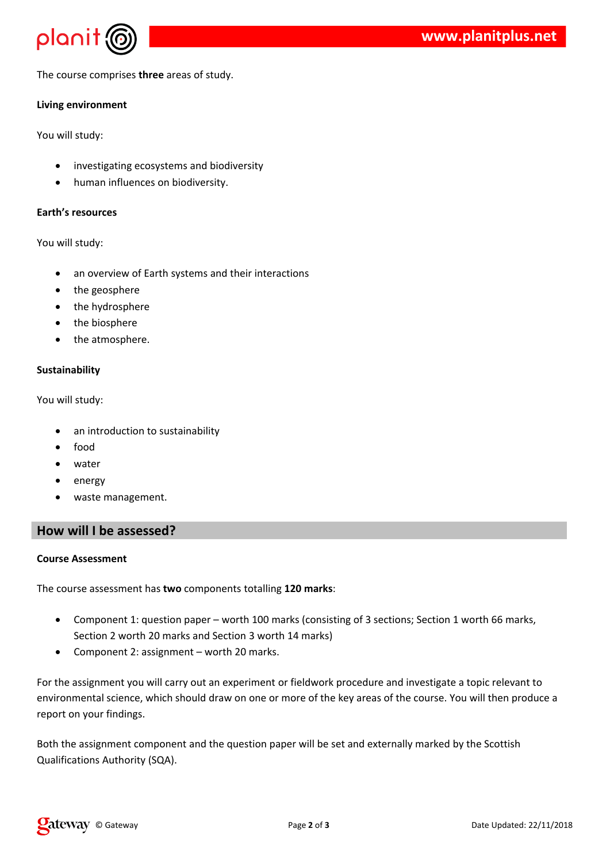

The course comprises **three** areas of study.

## **Living environment**

You will study:

- investigating ecosystems and biodiversity
- human influences on biodiversity.

### **Earth's resources**

You will study:

- an overview of Earth systems and their interactions
- the geosphere
- the hydrosphere
- the biosphere
- the atmosphere.

## **Sustainability**

You will study:

- an introduction to sustainability
- food
- water
- energy
- waste management.

## **How will I be assessed?**

#### **Course Assessment**

The course assessment has **two** components totalling **120 marks**:

- Component 1: question paper worth 100 marks (consisting of 3 sections; Section 1 worth 66 marks, Section 2 worth 20 marks and Section 3 worth 14 marks)
- Component 2: assignment worth 20 marks.

For the assignment you will carry out an experiment or fieldwork procedure and investigate a topic relevant to environmental science, which should draw on one or more of the key areas of the course. You will then produce a report on your findings.

Both the assignment component and the question paper will be set and externally marked by the Scottish Qualifications Authority (SQA).